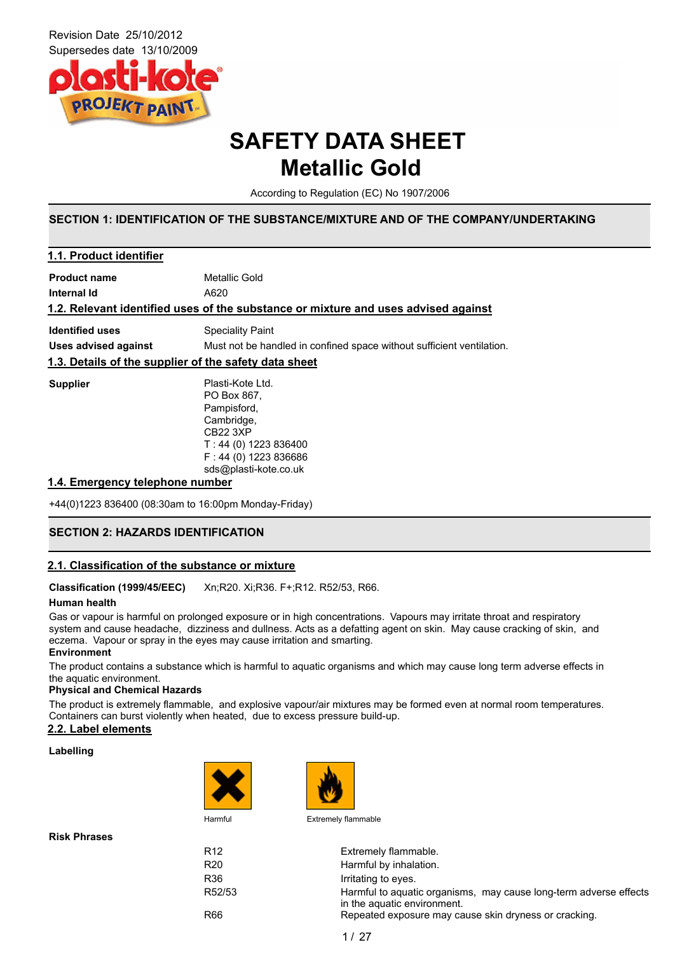

## **SAFETY DATA SHEET Metallic Gold**

According to Regulation (EC) No 1907/2006

## **SECTION 1: IDENTIFICATION OF THE SUBSTANCE/MIXTURE AND OF THE COMPANY/UNDERTAKING**

| 1.1. Product identifier     |                                                                                    |  |  |
|-----------------------------|------------------------------------------------------------------------------------|--|--|
| <b>Product name</b>         | Metallic Gold                                                                      |  |  |
| Internal Id                 | A620                                                                               |  |  |
|                             | 1.2. Relevant identified uses of the substance or mixture and uses advised against |  |  |
| <b>Identified uses</b>      | Speciality Paint                                                                   |  |  |
| <b>Uses advised against</b> | Must not be handled in confined space without sufficient ventilation.              |  |  |
|                             | 1.3. Details of the supplier of the safety data sheet                              |  |  |
| <b>Supplier</b>             | Plasti-Kote Ltd.                                                                   |  |  |
|                             | PO Box 867.                                                                        |  |  |
|                             | Pampisford,                                                                        |  |  |
|                             | Cambridge,                                                                         |  |  |
|                             | <b>CB22 3XP</b>                                                                    |  |  |
|                             | $T: 44(0)$ 1223 836400                                                             |  |  |
|                             | $F: 44(0)$ 1223 836686                                                             |  |  |
|                             | sds@plasti-kote.co.uk                                                              |  |  |
|                             |                                                                                    |  |  |

### **1.4. Emergency telephone number**

+44(0)1223 836400 (08:30am to 16:00pm Monday-Friday)

## **SECTION 2: HAZARDS IDENTIFICATION**

## **2.1. Classification of the substance or mixture**

**Classification (1999/45/EEC)** Xn;R20. Xi;R36. F+;R12. R52/53, R66.

### **Human health**

Gas or vapour is harmful on prolonged exposure or in high concentrations. Vapours may irritate throat and respiratory system and cause headache, dizziness and dullness. Acts as a defatting agent on skin. May cause cracking of skin, and eczema. Vapour or spray in the eyes may cause irritation and smarting. **Environment**

The product contains a substance which is harmful to aquatic organisms and which may cause long term adverse effects in the aquatic environment.

#### **Physical and Chemical Hazards**

The product is extremely flammable, and explosive vapour/air mixtures may be formed even at normal room temperatures. Containers can burst violently when heated, due to excess pressure build-up.

## **2.2. Label elements**

#### **Labelling**





**Risk Phrases**

R12 Extremely flammable. R20 Harmful by inhalation. R36 **Irritating to eyes.** R52/53 Harmful to aquatic organisms, may cause long-term adverse effects in the aquatic environment. R66 Repeated exposure may cause skin dryness or cracking.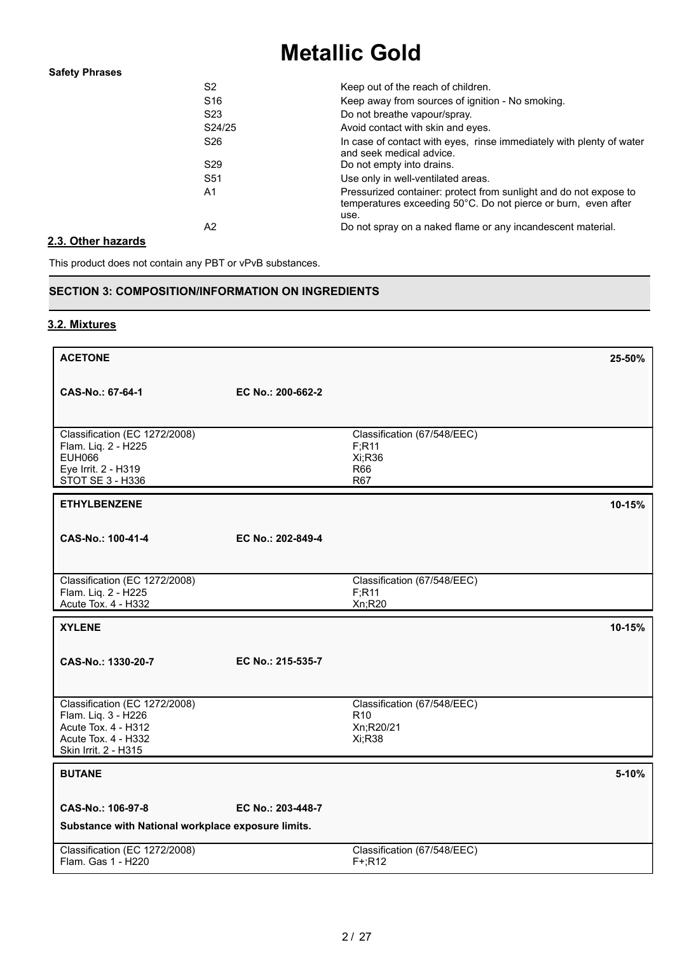## **Safety Phrases**

| S <sub>2</sub>  | Keep out of the reach of children.                                                                                                          |
|-----------------|---------------------------------------------------------------------------------------------------------------------------------------------|
| S <sub>16</sub> | Keep away from sources of ignition - No smoking.                                                                                            |
| S <sub>23</sub> | Do not breathe vapour/spray.                                                                                                                |
| S24/25          | Avoid contact with skin and eyes.                                                                                                           |
| S <sub>26</sub> | In case of contact with eyes, rinse immediately with plenty of water<br>and seek medical advice.                                            |
| S <sub>29</sub> | Do not empty into drains.                                                                                                                   |
| S <sub>51</sub> | Use only in well-ventilated areas.                                                                                                          |
| A1              | Pressurized container: protect from sunlight and do not expose to<br>temperatures exceeding 50°C. Do not pierce or burn, even after<br>use. |
| A2              | Do not spray on a naked flame or any incandescent material.                                                                                 |

## **2.3. Other hazards**

This product does not contain any PBT or vPvB substances.

## **SECTION 3: COMPOSITION/INFORMATION ON INGREDIENTS**

## **3.2. Mixtures**

| <b>ACETONE</b>                                                                                                             |                   |                                                                       | 25-50% |
|----------------------------------------------------------------------------------------------------------------------------|-------------------|-----------------------------------------------------------------------|--------|
| CAS-No.: 67-64-1                                                                                                           | EC No.: 200-662-2 |                                                                       |        |
| Classification (EC 1272/2008)<br>Flam. Liq. 2 - H225<br><b>EUH066</b><br>Eye Irrit. 2 - H319<br>STOT SE 3 - H336           |                   | Classification (67/548/EEC)<br>F; R11<br>Xi;R36<br>R66<br><b>R67</b>  |        |
| <b>ETHYLBENZENE</b>                                                                                                        |                   |                                                                       | 10-15% |
| CAS-No.: 100-41-4                                                                                                          | EC No.: 202-849-4 |                                                                       |        |
| Classification (EC 1272/2008)<br>Flam. Liq. 2 - H225<br>Acute Tox. 4 - H332                                                |                   | Classification (67/548/EEC)<br>F; R11<br>Xn;R20                       |        |
|                                                                                                                            |                   |                                                                       |        |
| <b>XYLENE</b>                                                                                                              |                   |                                                                       | 10-15% |
| CAS-No.: 1330-20-7                                                                                                         | EC No.: 215-535-7 |                                                                       |        |
| Classification (EC 1272/2008)<br>Flam. Liq. 3 - H226<br>Acute Tox. 4 - H312<br>Acute Tox. 4 - H332<br>Skin Irrit. 2 - H315 |                   | Classification (67/548/EEC)<br>R <sub>10</sub><br>Xn;R20/21<br>Xi;R38 |        |
| <b>BUTANE</b>                                                                                                              |                   |                                                                       | 5-10%  |
| CAS-No.: 106-97-8<br>Substance with National workplace exposure limits.                                                    | EC No.: 203-448-7 |                                                                       |        |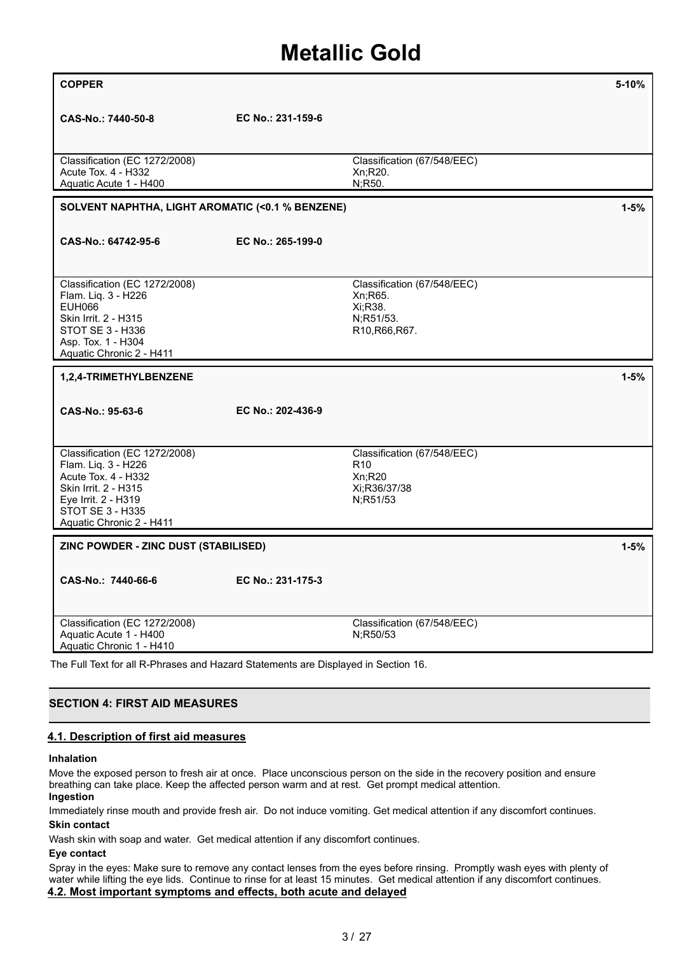| <b>COPPER</b>                                                                                                                                                              |                   |                                                                                                                         | 5-10%    |
|----------------------------------------------------------------------------------------------------------------------------------------------------------------------------|-------------------|-------------------------------------------------------------------------------------------------------------------------|----------|
| CAS-No.: 7440-50-8                                                                                                                                                         | EC No.: 231-159-6 |                                                                                                                         |          |
| Classification (EC 1272/2008)<br>Acute Tox. 4 - H332<br>Aquatic Acute 1 - H400                                                                                             |                   | Classification (67/548/EEC)<br>Xn;R20.<br>N;R50.                                                                        |          |
| SOLVENT NAPHTHA, LIGHT AROMATIC (<0.1 % BENZENE)                                                                                                                           |                   |                                                                                                                         | $1 - 5%$ |
| CAS-No.: 64742-95-6                                                                                                                                                        | EC No.: 265-199-0 |                                                                                                                         |          |
| Classification (EC 1272/2008)<br>Flam. Liq. 3 - H226<br><b>EUH066</b><br>Skin Irrit. 2 - H315<br>STOT SE 3 - H336<br>Asp. Tox. 1 - H304<br>Aquatic Chronic 2 - H411        |                   | Classification (67/548/EEC)<br>Xn;R65.<br>Xi;R38.<br>N;R51/53.<br>R <sub>10</sub> , R <sub>66</sub> , R <sub>67</sub> . |          |
| 1,2,4-TRIMETHYLBENZENE                                                                                                                                                     |                   |                                                                                                                         | $1 - 5%$ |
| CAS-No.: 95-63-6                                                                                                                                                           | EC No.: 202-436-9 |                                                                                                                         |          |
| Classification (EC 1272/2008)<br>Flam. Liq. 3 - H226<br>Acute Tox. 4 - H332<br>Skin Irrit. 2 - H315<br>Eye Irrit. 2 - H319<br>STOT SE 3 - H335<br>Aquatic Chronic 2 - H411 |                   | Classification (67/548/EEC)<br>R <sub>10</sub><br>Xn:R20<br>Xi:R36/37/38<br>N;R51/53                                    |          |
| ZINC POWDER - ZINC DUST (STABILISED)                                                                                                                                       |                   |                                                                                                                         | $1 - 5%$ |
| CAS-No.: 7440-66-6                                                                                                                                                         | EC No.: 231-175-3 |                                                                                                                         |          |
| Classification (EC 1272/2008)<br>Aquatic Acute 1 - H400<br>Aquatic Chronic 1 - H410                                                                                        |                   | Classification (67/548/EEC)<br>N;R50/53                                                                                 |          |

The Full Text for all R-Phrases and Hazard Statements are Displayed in Section 16.

## **SECTION 4: FIRST AID MEASURES**

### **4.1. Description of first aid measures**

### **Inhalation**

Move the exposed person to fresh air at once. Place unconscious person on the side in the recovery position and ensure breathing can take place. Keep the affected person warm and at rest. Get prompt medical attention. **Ingestion**

Immediately rinse mouth and provide fresh air. Do not induce vomiting. Get medical attention if any discomfort continues. **Skin contact**

Wash skin with soap and water. Get medical attention if any discomfort continues.

### **Eye contact**

Spray in the eyes: Make sure to remove any contact lenses from the eyes before rinsing. Promptly wash eyes with plenty of water while lifting the eye lids. Continue to rinse for at least 15 minutes. Get medical attention if any discomfort continues. **4.2. Most important symptoms and effects, both acute and delayed**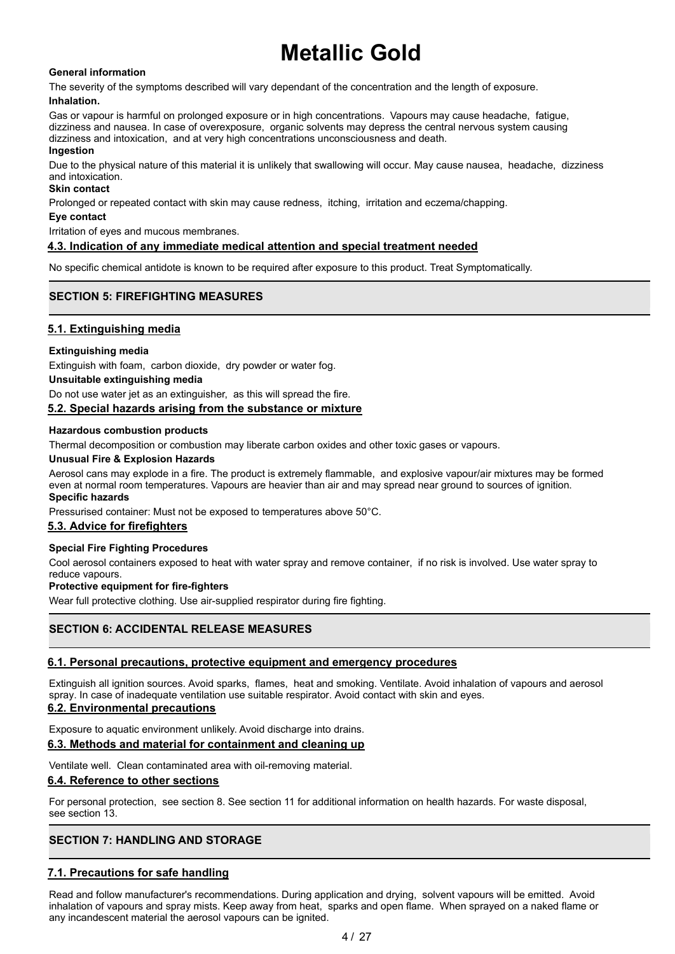## **General information**

The severity of the symptoms described will vary dependant of the concentration and the length of exposure. **Inhalation.**

Gas or vapour is harmful on prolonged exposure or in high concentrations. Vapours may cause headache, fatigue, dizziness and nausea. In case of overexposure, organic solvents may depress the central nervous system causing dizziness and intoxication, and at very high concentrations unconsciousness and death.

## **Ingestion**

Due to the physical nature of this material it is unlikely that swallowing will occur. May cause nausea, headache, dizziness and intoxication.

## **Skin contact**

Prolonged or repeated contact with skin may cause redness, itching, irritation and eczema/chapping.

#### **Eye contact**

Irritation of eyes and mucous membranes.

## **4.3. Indication of any immediate medical attention and special treatment needed**

No specific chemical antidote is known to be required after exposure to this product. Treat Symptomatically.

## **SECTION 5: FIREFIGHTING MEASURES**

## **5.1. Extinguishing media**

## **Extinguishing media**

Extinguish with foam, carbon dioxide, dry powder or water fog.

#### **Unsuitable extinguishing media**

Do not use water jet as an extinguisher, as this will spread the fire.

### **5.2. Special hazards arising from the substance or mixture**

### **Hazardous combustion products**

Thermal decomposition or combustion may liberate carbon oxides and other toxic gases or vapours.

#### **Unusual Fire & Explosion Hazards**

Aerosol cans may explode in a fire. The product is extremely flammable, and explosive vapour/air mixtures may be formed even at normal room temperatures. Vapours are heavier than air and may spread near ground to sources of ignition. **Specific hazards**

Pressurised container: Must not be exposed to temperatures above 50°C.

### **5.3. Advice for firefighters**

## **Special Fire Fighting Procedures**

Cool aerosol containers exposed to heat with water spray and remove container, if no risk is involved. Use water spray to reduce vapours.

### **Protective equipment for fire-fighters**

Wear full protective clothing. Use air-supplied respirator during fire fighting.

## **SECTION 6: ACCIDENTAL RELEASE MEASURES**

### **6.1. Personal precautions, protective equipment and emergency procedures**

Extinguish all ignition sources. Avoid sparks, flames, heat and smoking. Ventilate. Avoid inhalation of vapours and aerosol spray. In case of inadequate ventilation use suitable respirator. Avoid contact with skin and eyes.

## **6.2. Environmental precautions**

Exposure to aquatic environment unlikely. Avoid discharge into drains.

## **6.3. Methods and material for containment and cleaning up**

Ventilate well. Clean contaminated area with oil-removing material.

## **6.4. Reference to other sections**

For personal protection, see section 8. See section 11 for additional information on health hazards. For waste disposal, see section 13.

## **SECTION 7: HANDLING AND STORAGE**

## **7.1. Precautions for safe handling**

Read and follow manufacturer's recommendations. During application and drying, solvent vapours will be emitted. Avoid inhalation of vapours and spray mists. Keep away from heat, sparks and open flame. When sprayed on a naked flame or any incandescent material the aerosol vapours can be ignited.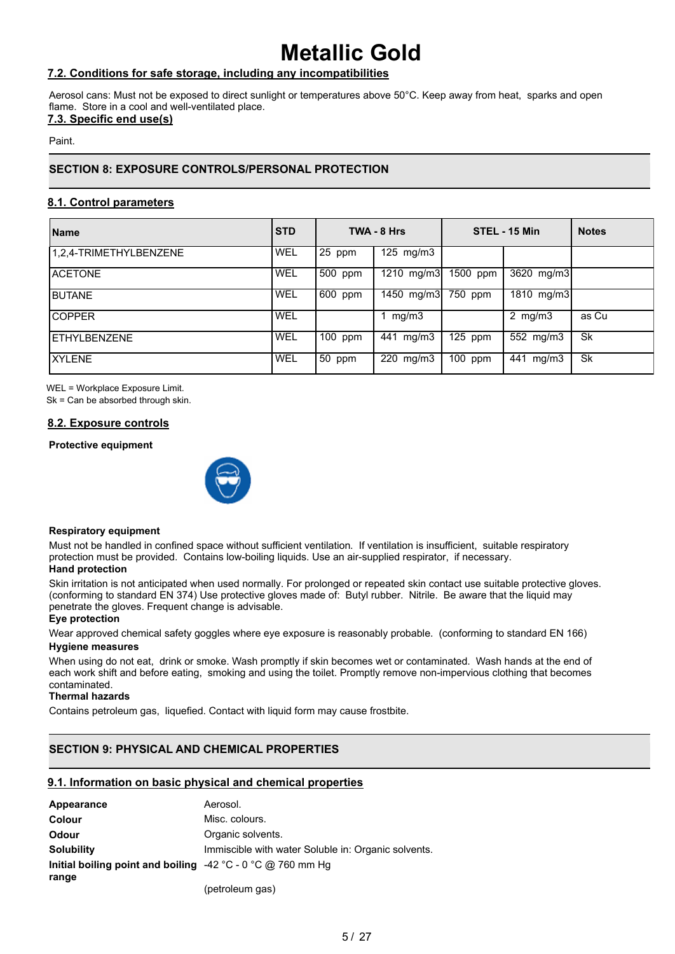## **7.2. Conditions for safe storage, including any incompatibilities**

Aerosol cans: Must not be exposed to direct sunlight or temperatures above 50°C. Keep away from heat, sparks and open flame. Store in a cool and well-ventilated place.

## **7.3. Specific end use(s)**

Paint.

## **SECTION 8: EXPOSURE CONTROLS/PERSONAL PROTECTION**

## **8.1. Control parameters**

| <b>Name</b>            | <b>STD</b> |                      | TWA - 8 Hrs  |                       | STEL - 15 Min           | <b>Notes</b> |
|------------------------|------------|----------------------|--------------|-----------------------|-------------------------|--------------|
| 1.2.4-TRIMETHYLBENZENE | WEL        | $\sqrt{25}$ ppm      | 125 mg/m $3$ |                       |                         |              |
| <b>ACETONE</b>         | WEL        | $500$ ppm            | 1210 $mg/m3$ | $\overline{1500}$ ppm | $\overline{3620}$ mg/m3 |              |
| <b>BUTANE</b>          | WEL        | $.600$ ppm           | 1450 mg/m3   | $750$ ppm             | 1810 mg/m3              |              |
| <b>COPPER</b>          | <b>WEL</b> |                      | mg/m3        |                       | 2 $mg/m3$               | as Cu        |
| ETHYLBENZENE           | WEL        | $\overline{100}$ ppm | 441 mg/m3    | $125$ ppm             | 552 mg/m3               | <b>Sk</b>    |
| <b>XYLENE</b>          | WEL        | $50$ ppm             | 220 mg/m3    | $\overline{100}$ ppm  | 441 mg/m3               | Sk           |

WEL = Workplace Exposure Limit.

Sk = Can be absorbed through skin.

## **8.2. Exposure controls**

## **Protective equipment**



### **Respiratory equipment**

Must not be handled in confined space without sufficient ventilation. If ventilation is insufficient, suitable respiratory protection must be provided. Contains low-boiling liquids. Use an air-supplied respirator, if necessary. **Hand protection**

#### Skin irritation is not anticipated when used normally. For prolonged or repeated skin contact use suitable protective gloves. (conforming to standard EN 374) Use protective gloves made of: Butyl rubber. Nitrile. Be aware that the liquid may penetrate the gloves. Frequent change is advisable.

#### **Eye protection**

Wear approved chemical safety goggles where eye exposure is reasonably probable. (conforming to standard EN 166) **Hygiene measures**

When using do not eat, drink or smoke. Wash promptly if skin becomes wet or contaminated. Wash hands at the end of each work shift and before eating, smoking and using the toilet. Promptly remove non-impervious clothing that becomes contaminated.

#### **Thermal hazards**

Contains petroleum gas, liquefied. Contact with liquid form may cause frostbite.

## **SECTION 9: PHYSICAL AND CHEMICAL PROPERTIES**

## **9.1. Information on basic physical and chemical properties**

| Appearance                                                                   | Aerosol.                                            |
|------------------------------------------------------------------------------|-----------------------------------------------------|
| <b>Colour</b>                                                                | Misc. colours.                                      |
| <b>Odour</b>                                                                 | Organic solvents.                                   |
| <b>Solubility</b>                                                            | Immiscible with water Soluble in: Organic solvents. |
| Initial boiling point and boiling $-42\degree$ C - 0 $\degree$ C @ 760 mm Hg |                                                     |
| range                                                                        |                                                     |
|                                                                              | (petroleum gas)                                     |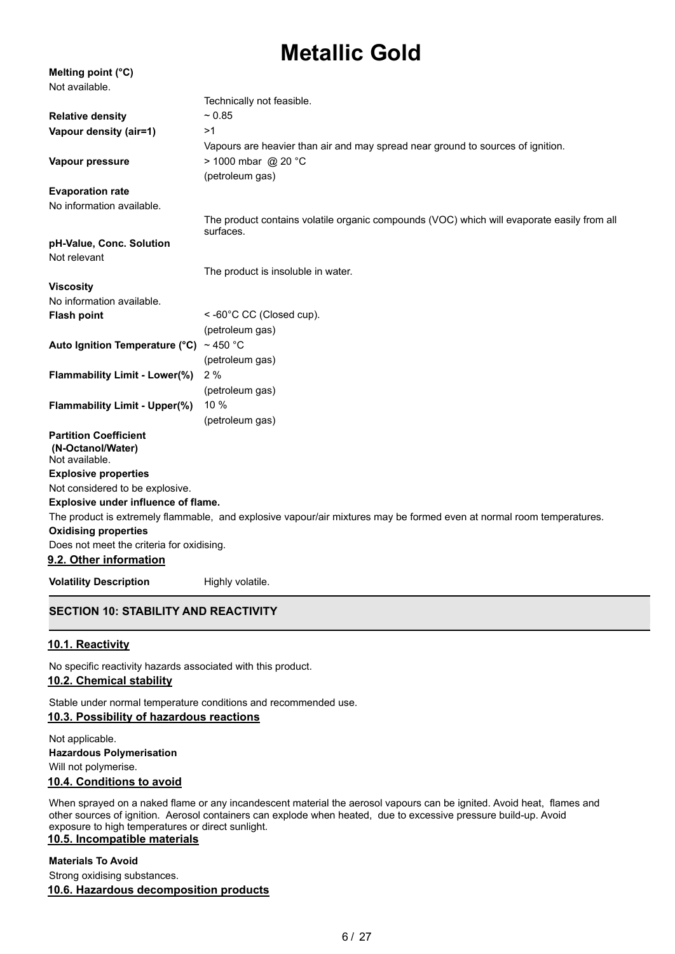| Melting point (°C)                                                  |                                                                                                                       |
|---------------------------------------------------------------------|-----------------------------------------------------------------------------------------------------------------------|
| Not available.                                                      |                                                                                                                       |
|                                                                     | Technically not feasible.                                                                                             |
| <b>Relative density</b>                                             | ~ 0.85                                                                                                                |
| Vapour density (air=1)                                              | >1                                                                                                                    |
|                                                                     | Vapours are heavier than air and may spread near ground to sources of ignition.                                       |
| Vapour pressure                                                     | > 1000 mbar @ 20 °C                                                                                                   |
|                                                                     | (petroleum gas)                                                                                                       |
| <b>Evaporation rate</b>                                             |                                                                                                                       |
| No information available.                                           |                                                                                                                       |
|                                                                     | The product contains volatile organic compounds (VOC) which will evaporate easily from all<br>surfaces.               |
| pH-Value, Conc. Solution                                            |                                                                                                                       |
| Not relevant                                                        |                                                                                                                       |
|                                                                     | The product is insoluble in water.                                                                                    |
| <b>Viscosity</b>                                                    |                                                                                                                       |
| No information available.                                           |                                                                                                                       |
| <b>Flash point</b>                                                  | <-60°C CC (Closed cup).                                                                                               |
|                                                                     | (petroleum gas)                                                                                                       |
| Auto Ignition Temperature ( $^{\circ}$ C) ~ 450 $^{\circ}$ C        |                                                                                                                       |
|                                                                     | (petroleum gas)                                                                                                       |
| Flammability Limit - Lower(%)                                       | 2%                                                                                                                    |
|                                                                     | (petroleum gas)                                                                                                       |
| <b>Flammability Limit - Upper(%)</b>                                | 10 %                                                                                                                  |
|                                                                     | (petroleum gas)                                                                                                       |
| <b>Partition Coefficient</b><br>(N-Octanol/Water)<br>Not available. |                                                                                                                       |
| <b>Explosive properties</b>                                         |                                                                                                                       |
| Not considered to be explosive.                                     |                                                                                                                       |
| Explosive under influence of flame.                                 |                                                                                                                       |
|                                                                     | The product is extremely flammable, and explosive vapour/air mixtures may be formed even at normal room temperatures. |
| <b>Oxidising properties</b>                                         |                                                                                                                       |
| Does not meet the criteria for oxidising.                           |                                                                                                                       |
| 9.2. Other information                                              |                                                                                                                       |
| <b>Volatility Description</b>                                       | Highly volatile.                                                                                                      |

## **SECTION 10: STABILITY AND REACTIVITY**

## **10.1. Reactivity**

No specific reactivity hazards associated with this product.

## **10.2. Chemical stability**

Stable under normal temperature conditions and recommended use.

## **10.3. Possibility of hazardous reactions**

Not applicable. **Hazardous Polymerisation** Will not polymerise.

## **10.4. Conditions to avoid**

When sprayed on a naked flame or any incandescent material the aerosol vapours can be ignited. Avoid heat, flames and other sources of ignition. Aerosol containers can explode when heated, due to excessive pressure build-up. Avoid exposure to high temperatures or direct sunlight.

## **10.5. Incompatible materials**

#### **Materials To Avoid**

Strong oxidising substances.

### **10.6. Hazardous decomposition products**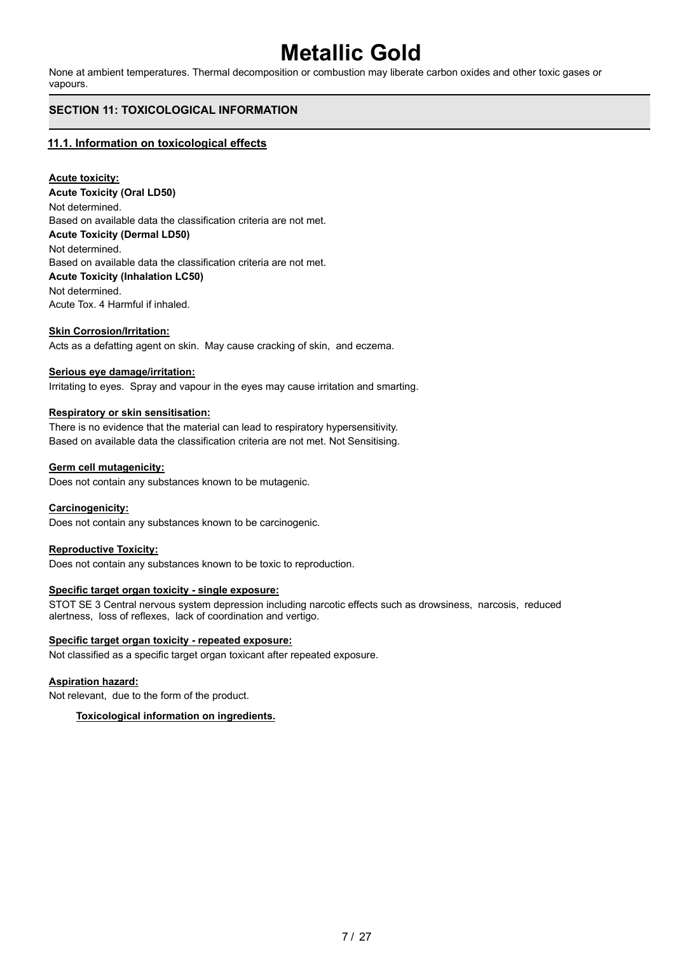None at ambient temperatures. Thermal decomposition or combustion may liberate carbon oxides and other toxic gases or vapours.

## **SECTION 11: TOXICOLOGICAL INFORMATION**

## **11.1. Information on toxicological effects**

## **Acute toxicity:**

**Acute Toxicity (Oral LD50)** Not determined. Based on available data the classification criteria are not met. **Acute Toxicity (Dermal LD50)** Not determined. Based on available data the classification criteria are not met. **Acute Toxicity (Inhalation LC50)** Not determined. Acute Tox. 4 Harmful if inhaled.

## **Skin Corrosion/Irritation:**

Acts as a defatting agent on skin. May cause cracking of skin, and eczema.

#### **Serious eye damage/irritation:**

Irritating to eyes. Spray and vapour in the eyes may cause irritation and smarting.

#### **Respiratory or skin sensitisation:**

There is no evidence that the material can lead to respiratory hypersensitivity. Based on available data the classification criteria are not met. Not Sensitising.

#### **Germ cell mutagenicity:**

Does not contain any substances known to be mutagenic.

### **Carcinogenicity:**

Does not contain any substances known to be carcinogenic.

#### **Reproductive Toxicity:**

Does not contain any substances known to be toxic to reproduction.

### **Specific target organ toxicity - single exposure:**

STOT SE 3 Central nervous system depression including narcotic effects such as drowsiness, narcosis, reduced alertness, loss of reflexes, lack of coordination and vertigo.

### **Specific target organ toxicity - repeated exposure:**

Not classified as a specific target organ toxicant after repeated exposure.

### **Aspiration hazard:**

Not relevant, due to the form of the product.

### **Toxicological information on ingredients.**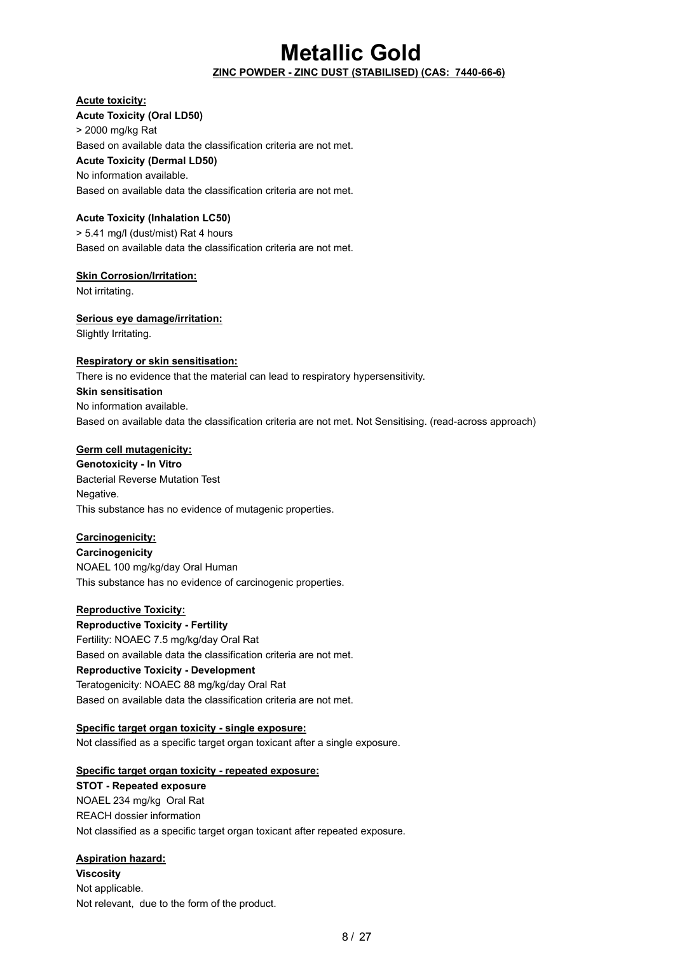## **ZINC POWDER - ZINC DUST (STABILISED) (CAS: 7440-66-6)**

## **Acute toxicity:**

**Acute Toxicity (Oral LD50)** > 2000 mg/kg Rat Based on available data the classification criteria are not met. **Acute Toxicity (Dermal LD50)** No information available. Based on available data the classification criteria are not met.

## **Acute Toxicity (Inhalation LC50)**

> 5.41 mg/l (dust/mist) Rat 4 hours Based on available data the classification criteria are not met.

### **Skin Corrosion/Irritation:**

Not irritating.

## **Serious eye damage/irritation:**

Slightly Irritating.

## **Respiratory or skin sensitisation:**

There is no evidence that the material can lead to respiratory hypersensitivity.

**Skin sensitisation** No information available. Based on available data the classification criteria are not met. Not Sensitising. (read-across approach)

## **Germ cell mutagenicity:**

**Genotoxicity - In Vitro** Bacterial Reverse Mutation Test Negative. This substance has no evidence of mutagenic properties.

## **Carcinogenicity:**

**Carcinogenicity** NOAEL 100 mg/kg/day Oral Human This substance has no evidence of carcinogenic properties.

### **Reproductive Toxicity:**

**Reproductive Toxicity - Fertility** Fertility: NOAEC 7.5 mg/kg/day Oral Rat Based on available data the classification criteria are not met. **Reproductive Toxicity - Development** Teratogenicity: NOAEC 88 mg/kg/day Oral Rat Based on available data the classification criteria are not met.

## **Specific target organ toxicity - single exposure:**

Not classified as a specific target organ toxicant after a single exposure.

### **Specific target organ toxicity - repeated exposure:**

**STOT - Repeated exposure** NOAEL 234 mg/kg Oral Rat REACH dossier information Not classified as a specific target organ toxicant after repeated exposure.

## **Aspiration hazard:**

**Viscosity** Not applicable. Not relevant, due to the form of the product.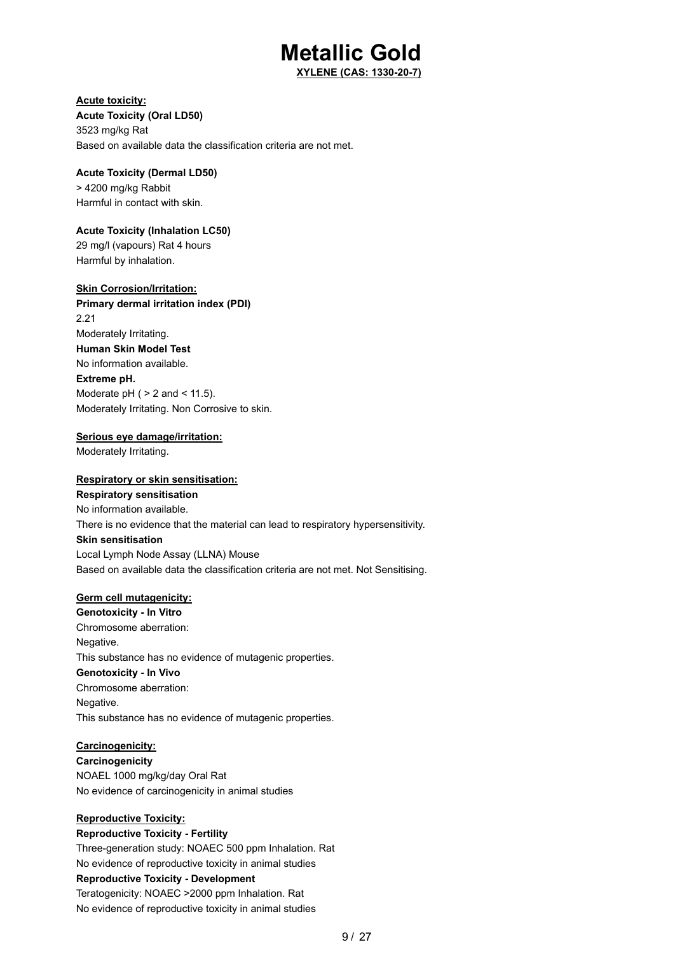**XYLENE (CAS: 1330-20-7)**

## **Acute toxicity:**

**Acute Toxicity (Oral LD50)** 3523 mg/kg Rat Based on available data the classification criteria are not met.

## **Acute Toxicity (Dermal LD50)** > 4200 mg/kg Rabbit

Harmful in contact with skin.

## **Acute Toxicity (Inhalation LC50)**

29 mg/l (vapours) Rat 4 hours Harmful by inhalation.

## **Skin Corrosion/Irritation:**

**Primary dermal irritation index (PDI)** 2.21 Moderately Irritating. **Human Skin Model Test** No information available. **Extreme pH.** Moderate  $pH$  (  $> 2$  and  $< 11.5$ ). Moderately Irritating. Non Corrosive to skin.

## **Serious eye damage/irritation:**

Moderately Irritating.

## **Respiratory or skin sensitisation:**

**Respiratory sensitisation** No information available. There is no evidence that the material can lead to respiratory hypersensitivity. **Skin sensitisation** Local Lymph Node Assay (LLNA) Mouse Based on available data the classification criteria are not met. Not Sensitising.

## **Germ cell mutagenicity:**

**Genotoxicity - In Vitro** Chromosome aberration: Negative. This substance has no evidence of mutagenic properties. **Genotoxicity - In Vivo** Chromosome aberration: Negative. This substance has no evidence of mutagenic properties.

### **Carcinogenicity:**

**Carcinogenicity** NOAEL 1000 mg/kg/day Oral Rat No evidence of carcinogenicity in animal studies

## **Reproductive Toxicity:**

**Reproductive Toxicity - Fertility** Three-generation study: NOAEC 500 ppm Inhalation. Rat No evidence of reproductive toxicity in animal studies **Reproductive Toxicity - Development** Teratogenicity: NOAEC >2000 ppm Inhalation. Rat No evidence of reproductive toxicity in animal studies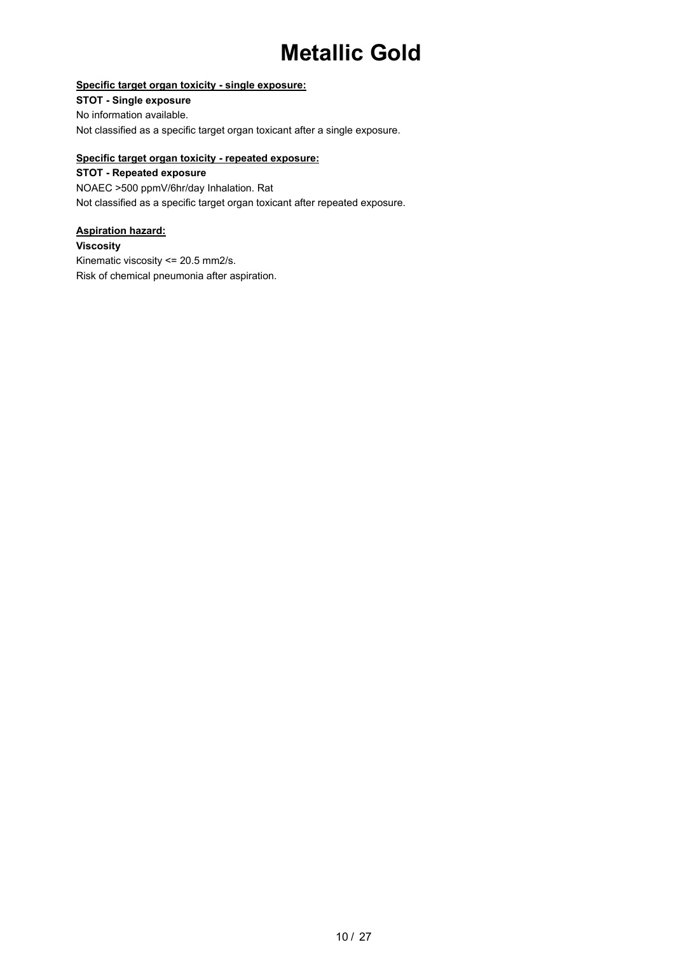## **Specific target organ toxicity - single exposure:**

**STOT - Single exposure** No information available. Not classified as a specific target organ toxicant after a single exposure.

## **Specific target organ toxicity - repeated exposure:**

**STOT - Repeated exposure** NOAEC >500 ppmV/6hr/day Inhalation. Rat Not classified as a specific target organ toxicant after repeated exposure.

## **Aspiration hazard:**

**Viscosity**

Kinematic viscosity <= 20.5 mm2/s. Risk of chemical pneumonia after aspiration.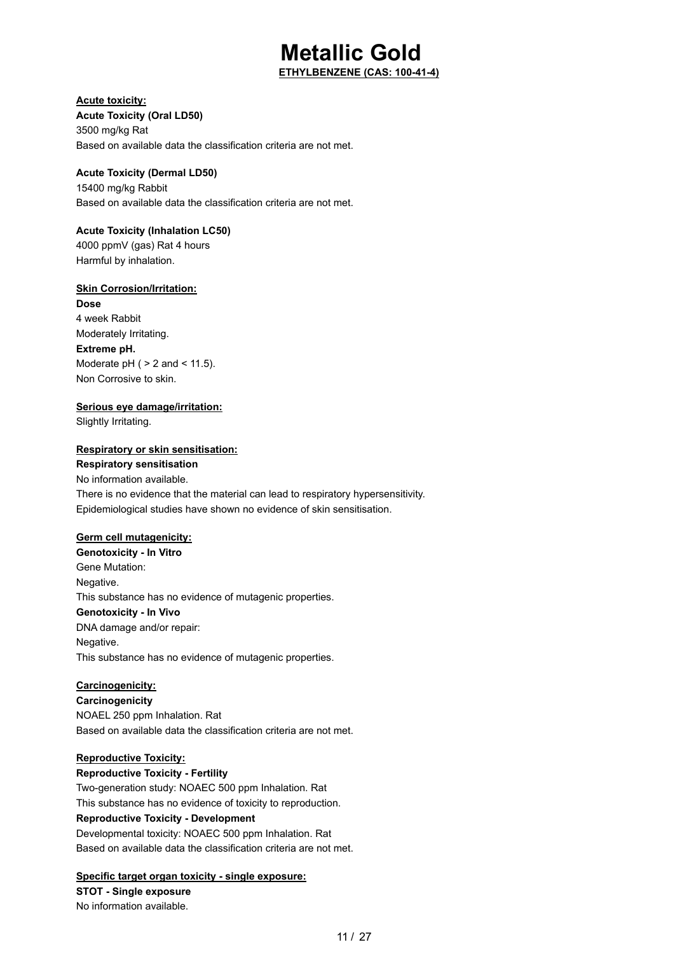**ETHYLBENZENE (CAS: 100-41-4)**

## **Acute toxicity:**

**Acute Toxicity (Oral LD50)**

3500 mg/kg Rat Based on available data the classification criteria are not met.

## **Acute Toxicity (Dermal LD50)**

15400 mg/kg Rabbit Based on available data the classification criteria are not met.

## **Acute Toxicity (Inhalation LC50)**

4000 ppmV (gas) Rat 4 hours Harmful by inhalation.

## **Skin Corrosion/Irritation:**

**Dose** 4 week Rabbit Moderately Irritating. **Extreme pH.** Moderate  $pH$  (  $> 2$  and  $< 11.5$ ). Non Corrosive to skin.

## **Serious eye damage/irritation:**

Slightly Irritating.

## **Respiratory or skin sensitisation:**

**Respiratory sensitisation** No information available. There is no evidence that the material can lead to respiratory hypersensitivity. Epidemiological studies have shown no evidence of skin sensitisation.

### **Germ cell mutagenicity:**

**Genotoxicity - In Vitro** Gene Mutation: Negative. This substance has no evidence of mutagenic properties. **Genotoxicity - In Vivo** DNA damage and/or repair: Negative. This substance has no evidence of mutagenic properties.

### **Carcinogenicity:**

**Carcinogenicity** NOAEL 250 ppm Inhalation. Rat Based on available data the classification criteria are not met.

## **Reproductive Toxicity:**

**Reproductive Toxicity - Fertility** Two-generation study: NOAEC 500 ppm Inhalation. Rat This substance has no evidence of toxicity to reproduction. **Reproductive Toxicity - Development** Developmental toxicity: NOAEC 500 ppm Inhalation. Rat Based on available data the classification criteria are not met.

## **Specific target organ toxicity - single exposure:**

**STOT - Single exposure** No information available.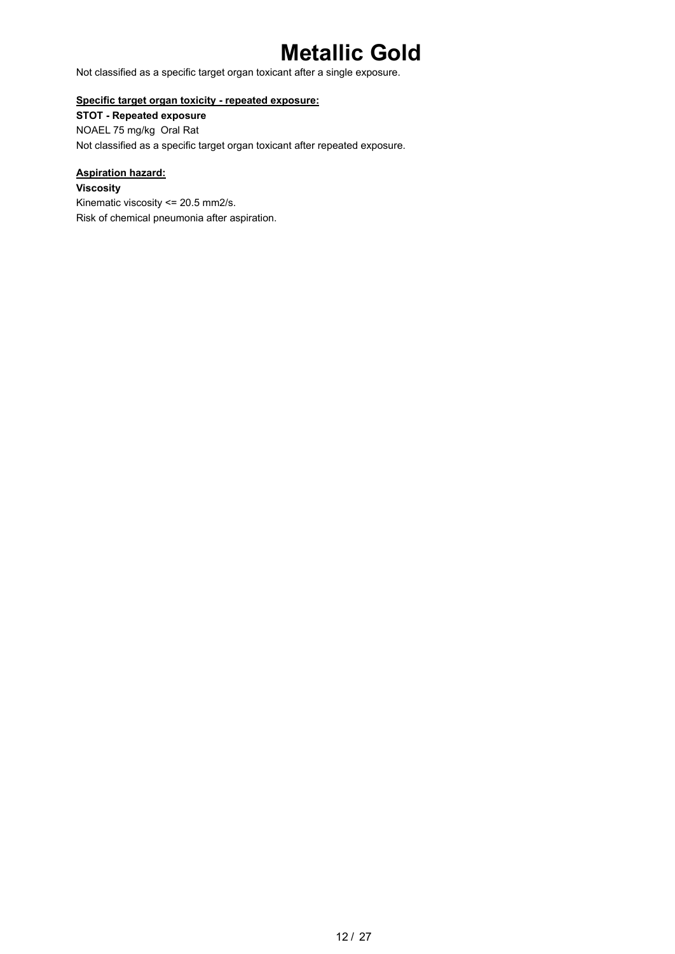Not classified as a specific target organ toxicant after a single exposure.

## **Specific target organ toxicity - repeated exposure:**

**STOT - Repeated exposure** NOAEL 75 mg/kg Oral Rat Not classified as a specific target organ toxicant after repeated exposure.

## **Aspiration hazard:**

**Viscosity** Kinematic viscosity <= 20.5 mm2/s. Risk of chemical pneumonia after aspiration.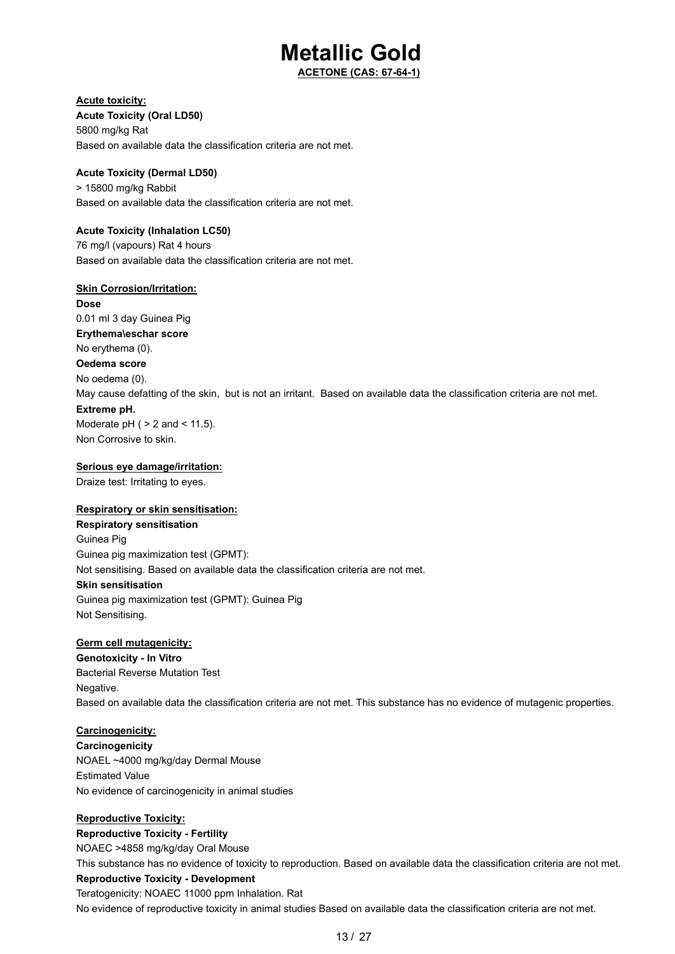**ACETONE (CAS: 67-64-1)**

## **Acute toxicity:**

**Acute Toxicity (Oral LD50)** 5800 mg/kg Rat Based on available data the classification criteria are not met.

## **Acute Toxicity (Dermal LD50)**

> 15800 mg/kg Rabbit Based on available data the classification criteria are not met.

## **Acute Toxicity (Inhalation LC50)**

76 mg/l (vapours) Rat 4 hours Based on available data the classification criteria are not met.

### **Skin Corrosion/Irritation:**

**Dose** 0.01 ml 3 day Guinea Pig **Erythema\eschar score** No erythema (0). **Oedema score** No oedema (0). May cause defatting of the skin, but is not an irritant. Based on available data the classification criteria are not met. **Extreme pH.** Moderate  $pH$  (  $> 2$  and  $< 11.5$ ).

Non Corrosive to skin.

## **Serious eye damage/irritation:**

Draize test: Irritating to eyes.

## **Respiratory or skin sensitisation:**

**Respiratory sensitisation** Guinea Pig Guinea pig maximization test (GPMT): Not sensitising. Based on available data the classification criteria are not met. **Skin sensitisation** Guinea pig maximization test (GPMT): Guinea Pig Not Sensitising.

## **Germ cell mutagenicity:**

**Genotoxicity - In Vitro** Bacterial Reverse Mutation Test Negative. Based on available data the classification criteria are not met. This substance has no evidence of mutagenic properties.

### **Carcinogenicity:**

**Carcinogenicity** NOAEL ~4000 mg/kg/day Dermal Mouse Estimated Value No evidence of carcinogenicity in animal studies

## **Reproductive Toxicity:**

**Reproductive Toxicity - Fertility** NOAEC >4858 mg/kg/day Oral Mouse This substance has no evidence of toxicity to reproduction. Based on available data the classification criteria are not met. **Reproductive Toxicity - Development** Teratogenicity: NOAEC 11000 ppm Inhalation. Rat No evidence of reproductive toxicity in animal studies Based on available data the classification criteria are not met.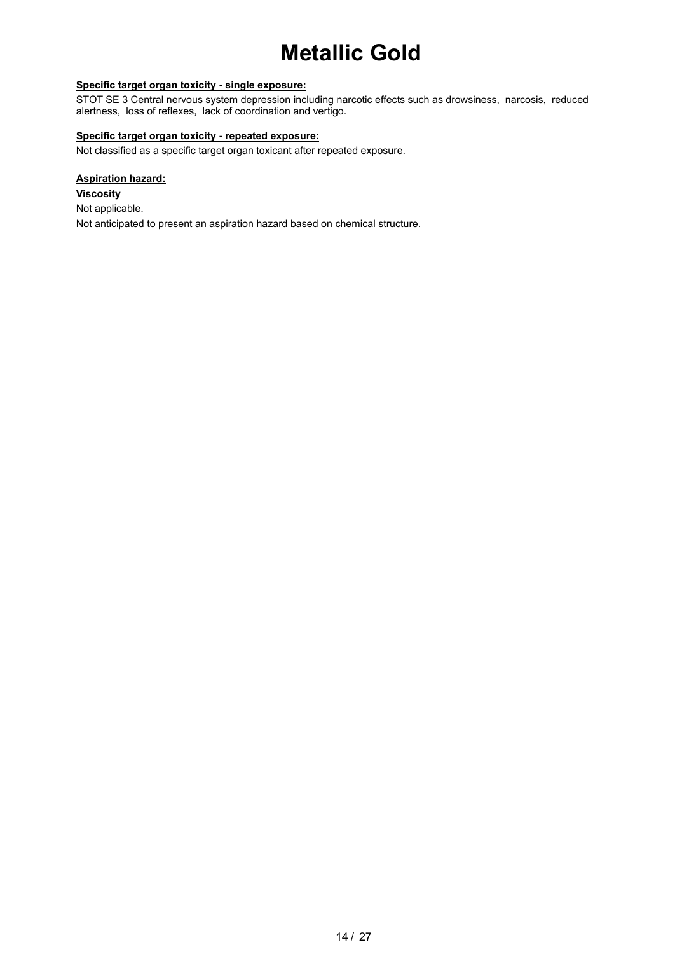## **Specific target organ toxicity - single exposure:**

STOT SE 3 Central nervous system depression including narcotic effects such as drowsiness, narcosis, reduced alertness, loss of reflexes, lack of coordination and vertigo.

## **Specific target organ toxicity - repeated exposure:**

Not classified as a specific target organ toxicant after repeated exposure.

### **Aspiration hazard:**

**Viscosity** Not applicable. Not anticipated to present an aspiration hazard based on chemical structure.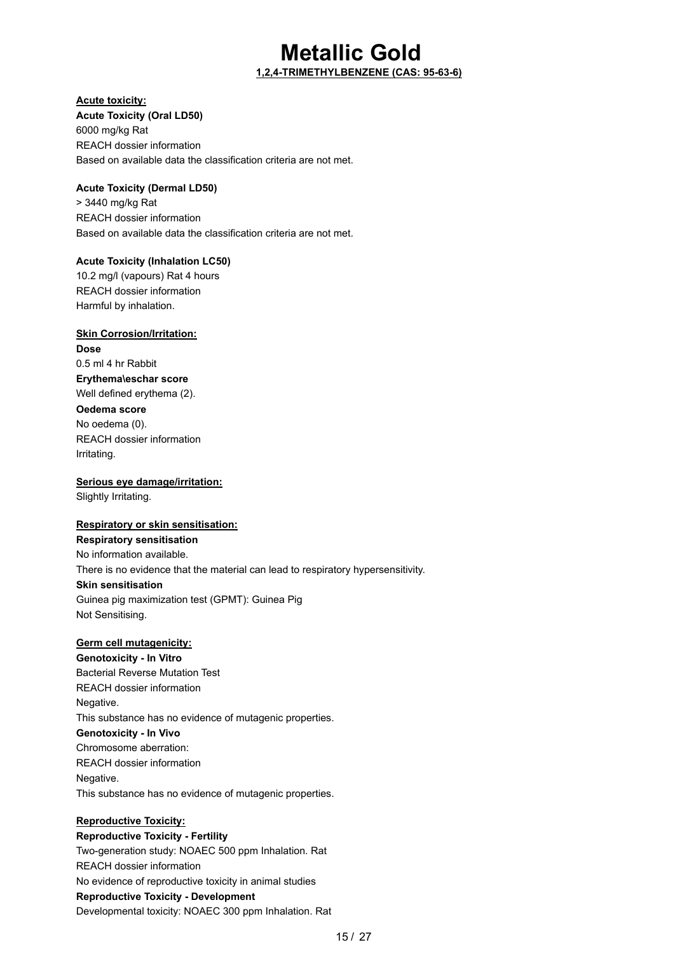## **Metallic Gold 1,2,4-TRIMETHYLBENZENE (CAS: 95-63-6)**

## **Acute toxicity:**

**Acute Toxicity (Oral LD50)** 6000 mg/kg Rat REACH dossier information Based on available data the classification criteria are not met.

## **Acute Toxicity (Dermal LD50)**

> 3440 mg/kg Rat REACH dossier information Based on available data the classification criteria are not met.

## **Acute Toxicity (Inhalation LC50)**

10.2 mg/l (vapours) Rat 4 hours REACH dossier information Harmful by inhalation.

## **Skin Corrosion/Irritation:**

**Dose** 0.5 ml 4 hr Rabbit **Erythema\eschar score** Well defined erythema (2).

## **Oedema score**

No oedema (0). REACH dossier information Irritating.

## **Serious eye damage/irritation:**

Slightly Irritating.

## **Respiratory or skin sensitisation:**

## **Respiratory sensitisation** No information available. There is no evidence that the material can lead to respiratory hypersensitivity. **Skin sensitisation** Guinea pig maximization test (GPMT): Guinea Pig Not Sensitising.

## **Germ cell mutagenicity:**

**Genotoxicity - In Vitro** Bacterial Reverse Mutation Test REACH dossier information Negative. This substance has no evidence of mutagenic properties. **Genotoxicity - In Vivo** Chromosome aberration: REACH dossier information Negative. This substance has no evidence of mutagenic properties.

## **Reproductive Toxicity:**

**Reproductive Toxicity - Fertility** Two-generation study: NOAEC 500 ppm Inhalation. Rat REACH dossier information No evidence of reproductive toxicity in animal studies **Reproductive Toxicity - Development** Developmental toxicity: NOAEC 300 ppm Inhalation. Rat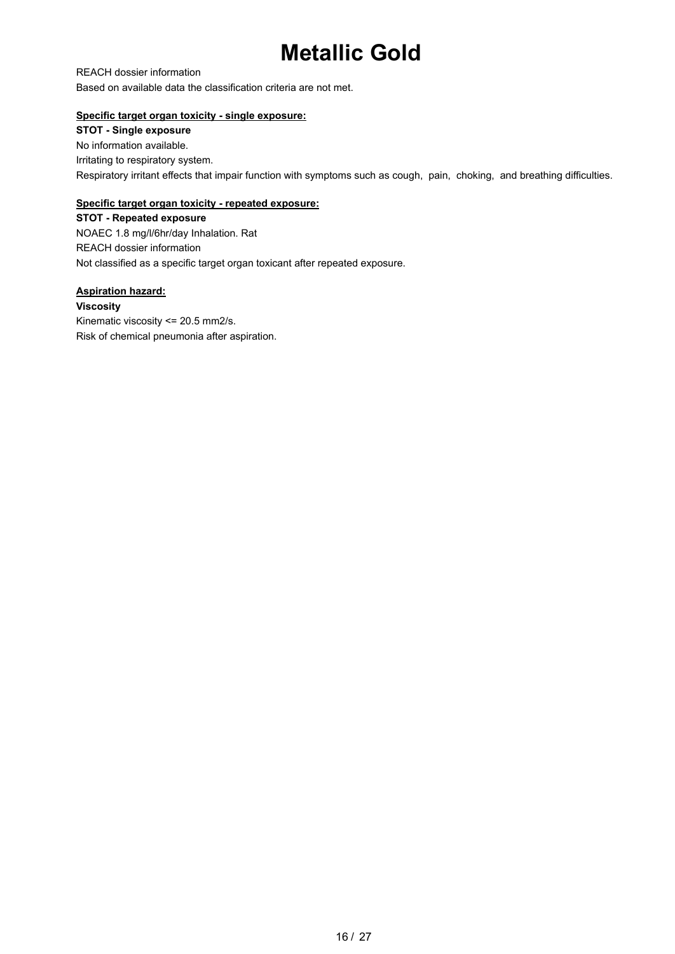REACH dossier information Based on available data the classification criteria are not met.

## **Specific target organ toxicity - single exposure:**

**STOT - Single exposure** No information available. Irritating to respiratory system. Respiratory irritant effects that impair function with symptoms such as cough, pain, choking, and breathing difficulties.

## **Specific target organ toxicity - repeated exposure:**

**STOT - Repeated exposure** NOAEC 1.8 mg/l/6hr/day Inhalation. Rat REACH dossier information Not classified as a specific target organ toxicant after repeated exposure.

**Aspiration hazard: Viscosity** Kinematic viscosity <= 20.5 mm2/s. Risk of chemical pneumonia after aspiration.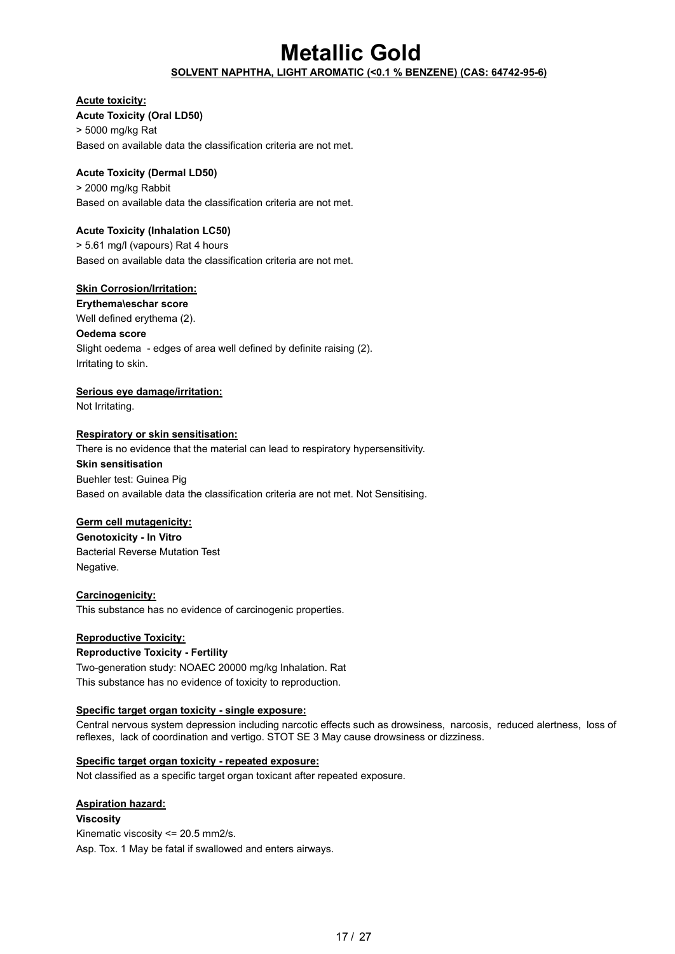## **SOLVENT NAPHTHA, LIGHT AROMATIC (<0.1 % BENZENE) (CAS: 64742-95-6)**

### **Acute toxicity:**

**Acute Toxicity (Oral LD50)** > 5000 mg/kg Rat Based on available data the classification criteria are not met.

## **Acute Toxicity (Dermal LD50)**

> 2000 mg/kg Rabbit Based on available data the classification criteria are not met.

## **Acute Toxicity (Inhalation LC50)**

> 5.61 mg/l (vapours) Rat 4 hours Based on available data the classification criteria are not met.

### **Skin Corrosion/Irritation:**

**Erythema\eschar score**

Well defined erythema (2).

#### **Oedema score**

Slight oedema - edges of area well defined by definite raising (2). Irritating to skin.

### **Serious eye damage/irritation:**

Not Irritating.

### **Respiratory or skin sensitisation:**

There is no evidence that the material can lead to respiratory hypersensitivity.

#### **Skin sensitisation**

Buehler test: Guinea Pig Based on available data the classification criteria are not met. Not Sensitising.

### **Germ cell mutagenicity:**

**Genotoxicity - In Vitro** Bacterial Reverse Mutation Test Negative.

## **Carcinogenicity:**

This substance has no evidence of carcinogenic properties.

## **Reproductive Toxicity:**

#### **Reproductive Toxicity - Fertility**

Two-generation study: NOAEC 20000 mg/kg Inhalation. Rat This substance has no evidence of toxicity to reproduction.

### **Specific target organ toxicity - single exposure:**

Central nervous system depression including narcotic effects such as drowsiness, narcosis, reduced alertness, loss of reflexes, lack of coordination and vertigo. STOT SE 3 May cause drowsiness or dizziness.

### **Specific target organ toxicity - repeated exposure:**

Not classified as a specific target organ toxicant after repeated exposure.

## **Aspiration hazard:**

### **Viscosity**

Kinematic viscosity <= 20.5 mm2/s. Asp. Tox. 1 May be fatal if swallowed and enters airways.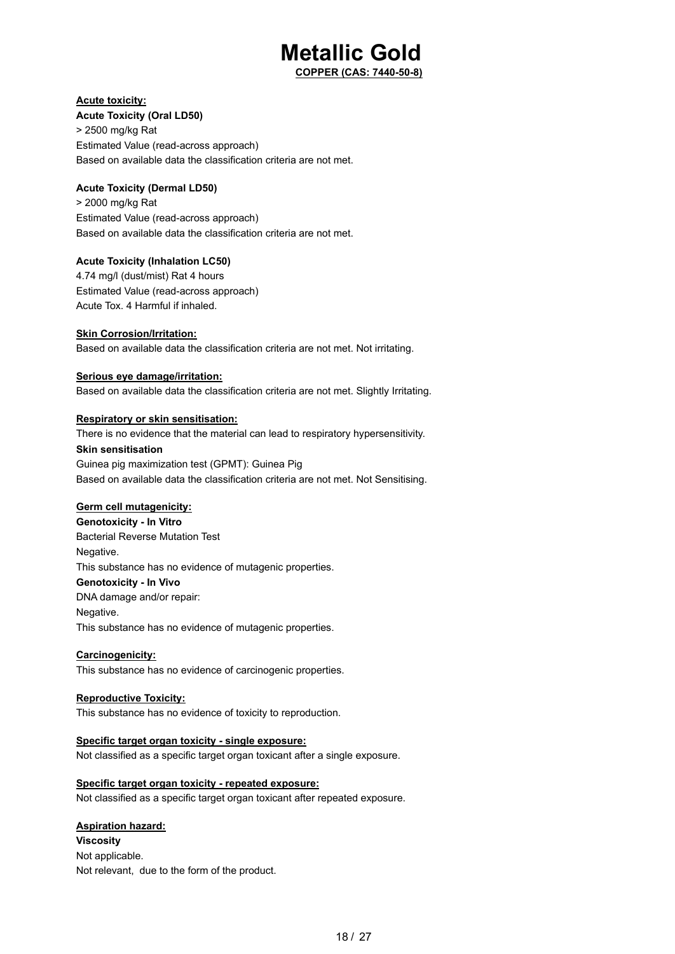**COPPER (CAS: 7440-50-8)**

## **Acute toxicity:**

**Acute Toxicity (Oral LD50)**

> 2500 mg/kg Rat Estimated Value (read-across approach) Based on available data the classification criteria are not met.

## **Acute Toxicity (Dermal LD50)**

> 2000 mg/kg Rat Estimated Value (read-across approach) Based on available data the classification criteria are not met.

### **Acute Toxicity (Inhalation LC50)**

4.74 mg/l (dust/mist) Rat 4 hours Estimated Value (read-across approach) Acute Tox. 4 Harmful if inhaled.

## **Skin Corrosion/Irritation:**

Based on available data the classification criteria are not met. Not irritating.

### **Serious eye damage/irritation:**

Based on available data the classification criteria are not met. Slightly Irritating.

### **Respiratory or skin sensitisation:**

There is no evidence that the material can lead to respiratory hypersensitivity. **Skin sensitisation** Guinea pig maximization test (GPMT): Guinea Pig Based on available data the classification criteria are not met. Not Sensitising.

### **Germ cell mutagenicity:**

**Genotoxicity - In Vitro** Bacterial Reverse Mutation Test Negative. This substance has no evidence of mutagenic properties. **Genotoxicity - In Vivo** DNA damage and/or repair: Negative. This substance has no evidence of mutagenic properties.

### **Carcinogenicity:**

This substance has no evidence of carcinogenic properties.

### **Reproductive Toxicity:**

This substance has no evidence of toxicity to reproduction.

## **Specific target organ toxicity - single exposure:**

Not classified as a specific target organ toxicant after a single exposure.

## **Specific target organ toxicity - repeated exposure:**

Not classified as a specific target organ toxicant after repeated exposure.

## **Aspiration hazard:**

**Viscosity** Not applicable. Not relevant, due to the form of the product.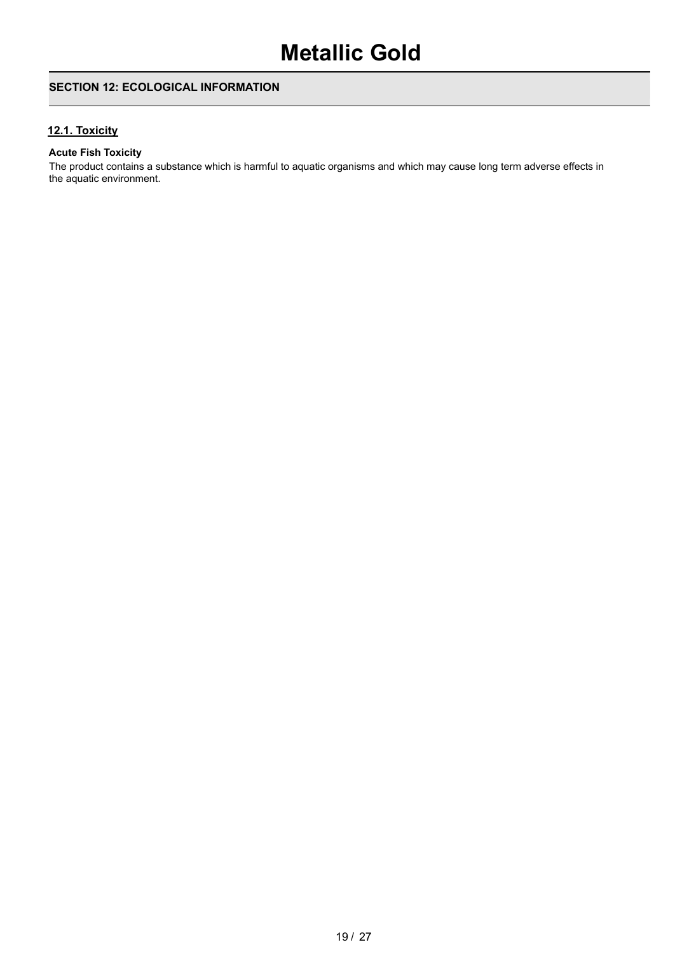## **SECTION 12: ECOLOGICAL INFORMATION**

## **12.1. Toxicity**

### **Acute Fish Toxicity**

The product contains a substance which is harmful to aquatic organisms and which may cause long term adverse effects in the aquatic environment.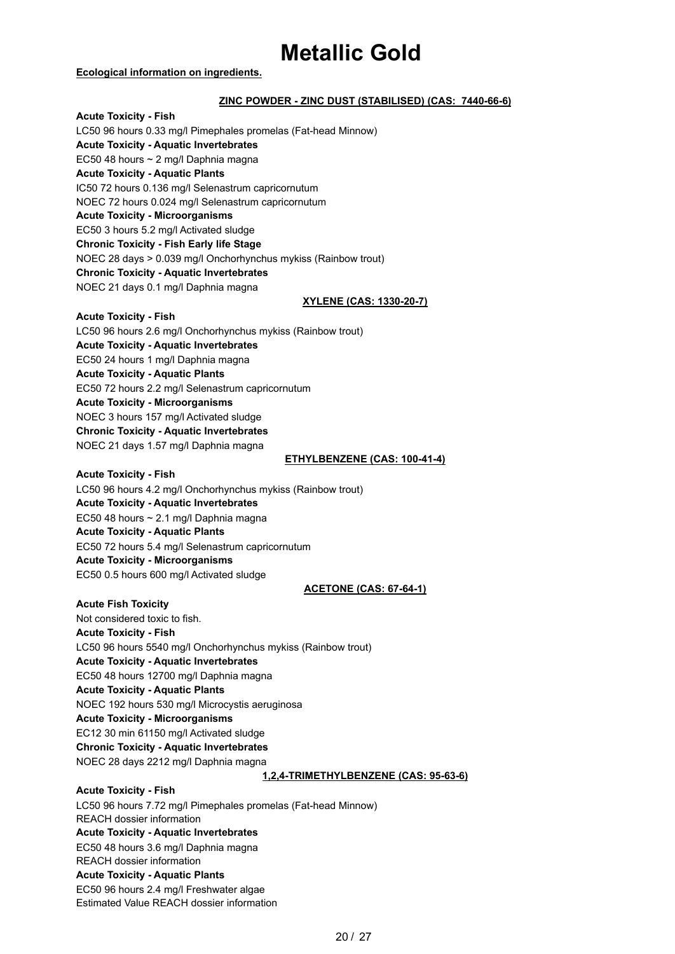#### **Ecological information on ingredients.**

### **ZINC POWDER - ZINC DUST (STABILISED) (CAS: 7440-66-6)**

**Acute Toxicity - Fish** LC50 96 hours 0.33 mg/l Pimephales promelas (Fat-head Minnow) **Acute Toxicity - Aquatic Invertebrates** EC50 48 hours ~ 2 mg/l Daphnia magna **Acute Toxicity - Aquatic Plants** IC50 72 hours 0.136 mg/l Selenastrum capricornutum NOEC 72 hours 0.024 mg/l Selenastrum capricornutum **Acute Toxicity - Microorganisms** EC50 3 hours 5.2 mg/l Activated sludge **Chronic Toxicity - Fish Early life Stage** NOEC 28 days > 0.039 mg/l Onchorhynchus mykiss (Rainbow trout) **Chronic Toxicity - Aquatic Invertebrates** NOEC 21 days 0.1 mg/l Daphnia magna

#### **XYLENE (CAS: 1330-20-7)**

#### **Acute Toxicity - Fish**

LC50 96 hours 2.6 mg/l Onchorhynchus mykiss (Rainbow trout)

**Acute Toxicity - Aquatic Invertebrates**

EC50 24 hours 1 mg/l Daphnia magna

**Acute Toxicity - Aquatic Plants**

EC50 72 hours 2.2 mg/l Selenastrum capricornutum

**Acute Toxicity - Microorganisms**

NOEC 3 hours 157 mg/l Activated sludge

**Chronic Toxicity - Aquatic Invertebrates**

NOEC 21 days 1.57 mg/l Daphnia magna

#### **ETHYLBENZENE (CAS: 100-41-4)**

#### **Acute Toxicity - Fish**

LC50 96 hours 4.2 mg/l Onchorhynchus mykiss (Rainbow trout) **Acute Toxicity - Aquatic Invertebrates** EC50 48 hours ~ 2.1 mg/l Daphnia magna **Acute Toxicity - Aquatic Plants** EC50 72 hours 5.4 mg/l Selenastrum capricornutum

**Acute Toxicity - Microorganisms** EC50 0.5 hours 600 mg/l Activated sludge

#### **ACETONE (CAS: 67-64-1)**

**Acute Fish Toxicity** Not considered toxic to fish. **Acute Toxicity - Fish** LC50 96 hours 5540 mg/l Onchorhynchus mykiss (Rainbow trout) **Acute Toxicity - Aquatic Invertebrates** EC50 48 hours 12700 mg/l Daphnia magna **Acute Toxicity - Aquatic Plants** NOEC 192 hours 530 mg/l Microcystis aeruginosa **Acute Toxicity - Microorganisms** EC12 30 min 61150 mg/l Activated sludge **Chronic Toxicity - Aquatic Invertebrates** NOEC 28 days 2212 mg/l Daphnia magna

#### **1,2,4-TRIMETHYLBENZENE (CAS: 95-63-6)**

**Acute Toxicity - Fish** LC50 96 hours 7.72 mg/l Pimephales promelas (Fat-head Minnow) REACH dossier information **Acute Toxicity - Aquatic Invertebrates** EC50 48 hours 3.6 mg/l Daphnia magna REACH dossier information **Acute Toxicity - Aquatic Plants** EC50 96 hours 2.4 mg/l Freshwater algae Estimated Value REACH dossier information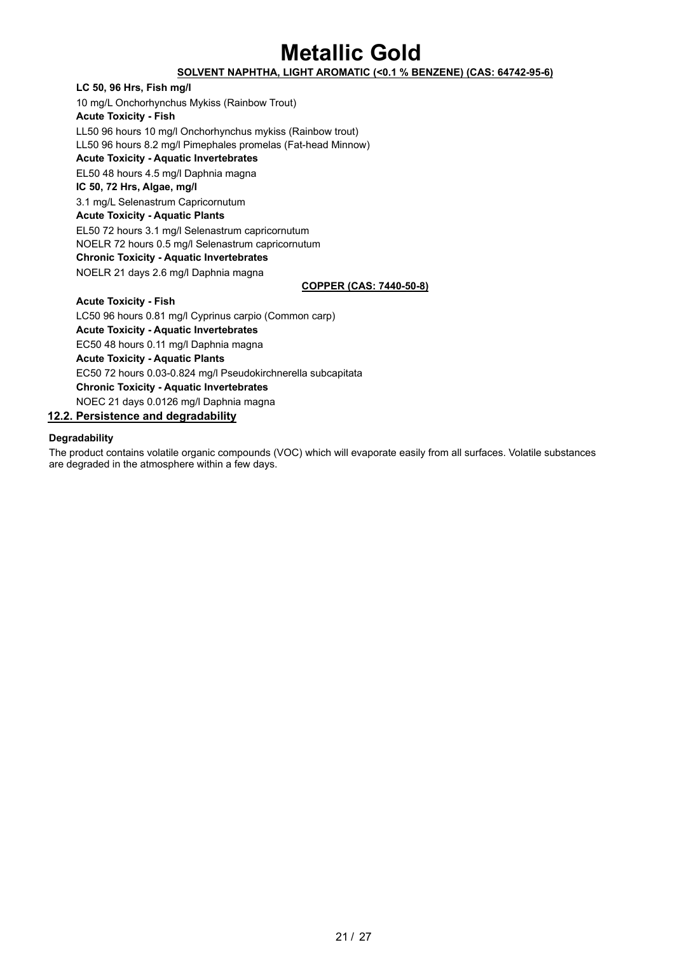## **SOLVENT NAPHTHA, LIGHT AROMATIC (<0.1 % BENZENE) (CAS: 64742-95-6)**

**LC 50, 96 Hrs, Fish mg/l** 10 mg/L Onchorhynchus Mykiss (Rainbow Trout) **Acute Toxicity - Fish** LL50 96 hours 10 mg/l Onchorhynchus mykiss (Rainbow trout) LL50 96 hours 8.2 mg/l Pimephales promelas (Fat-head Minnow) **Acute Toxicity - Aquatic Invertebrates** EL50 48 hours 4.5 mg/l Daphnia magna **IC 50, 72 Hrs, Algae, mg/l** 3.1 mg/L Selenastrum Capricornutum **Acute Toxicity - Aquatic Plants** EL50 72 hours 3.1 mg/l Selenastrum capricornutum NOELR 72 hours 0.5 mg/l Selenastrum capricornutum **Chronic Toxicity - Aquatic Invertebrates** NOELR 21 days 2.6 mg/l Daphnia magna

### **COPPER (CAS: 7440-50-8)**

**Acute Toxicity - Fish** LC50 96 hours 0.81 mg/l Cyprinus carpio (Common carp) **Acute Toxicity - Aquatic Invertebrates** EC50 48 hours 0.11 mg/l Daphnia magna **Acute Toxicity - Aquatic Plants** EC50 72 hours 0.03-0.824 mg/l Pseudokirchnerella subcapitata **Chronic Toxicity - Aquatic Invertebrates** NOEC 21 days 0.0126 mg/l Daphnia magna

## **12.2. Persistence and degradability**

#### **Degradability**

The product contains volatile organic compounds (VOC) which will evaporate easily from all surfaces. Volatile substances are degraded in the atmosphere within a few days.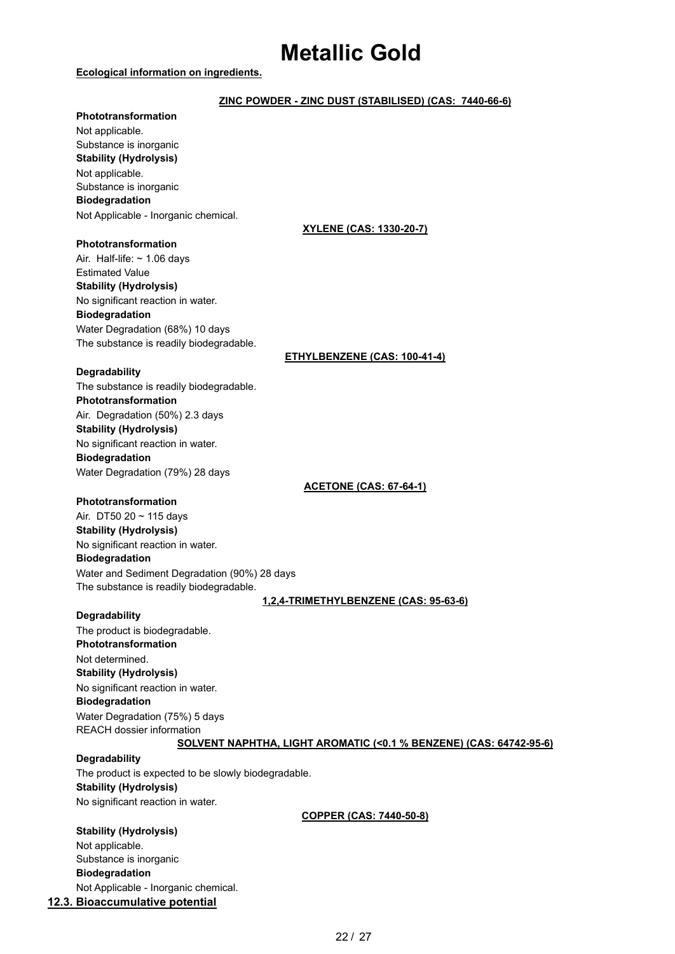#### **Ecological information on ingredients.**

## **ZINC POWDER - ZINC DUST (STABILISED) (CAS: 7440-66-6)**

#### **Phototransformation**

Not applicable. Substance is inorganic **Stability (Hydrolysis)** Not applicable. Substance is inorganic **Biodegradation** Not Applicable - Inorganic chemical.

#### **Phototransformation**

Air. Half-life:  $\sim$  1.06 days Estimated Value **Stability (Hydrolysis)** No significant reaction in water. **Biodegradation** Water Degradation (68%) 10 days The substance is readily biodegradable.

### **XYLENE (CAS: 1330-20-7)**

### **ETHYLBENZENE (CAS: 100-41-4)**

#### **Degradability**

The substance is readily biodegradable. **Phototransformation** Air. Degradation (50%) 2.3 days **Stability (Hydrolysis)** No significant reaction in water. **Biodegradation** Water Degradation (79%) 28 days

**ACETONE (CAS: 67-64-1)**

#### **Phototransformation**

Air. DT50 20 ~ 115 days **Stability (Hydrolysis)** No significant reaction in water. **Biodegradation** Water and Sediment Degradation (90%) 28 days The substance is readily biodegradable.

### **1,2,4-TRIMETHYLBENZENE (CAS: 95-63-6)**

### **Degradability**

The product is biodegradable. **Phototransformation** Not determined. **Stability (Hydrolysis)** No significant reaction in water. **Biodegradation** Water Degradation (75%) 5 days REACH dossier information

### **SOLVENT NAPHTHA, LIGHT AROMATIC (<0.1 % BENZENE) (CAS: 64742-95-6)**

### **Degradability**

The product is expected to be slowly biodegradable. **Stability (Hydrolysis)** No significant reaction in water.

### **COPPER (CAS: 7440-50-8)**

### **Stability (Hydrolysis)**

Not applicable. Substance is inorganic **Biodegradation** Not Applicable - Inorganic chemical.

## **12.3. Bioaccumulative potential**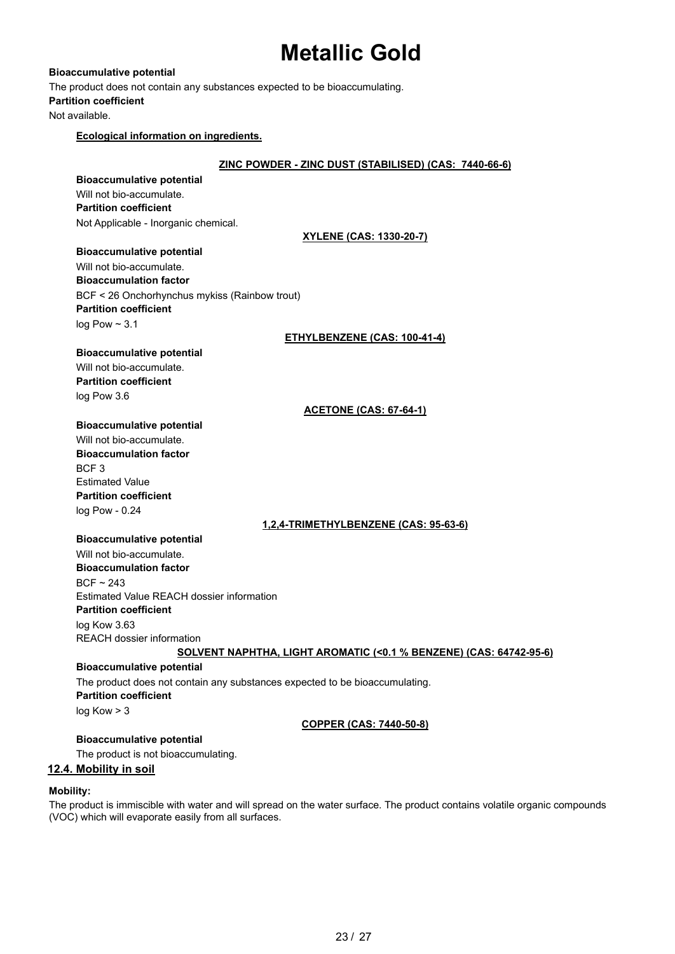**Bioaccumulative potential** The product does not contain any substances expected to be bioaccumulating. **Partition coefficient** Not available.

## **Ecological information on ingredients.**

| Ecological information on ingredients.                                      |
|-----------------------------------------------------------------------------|
| ZINC POWDER - ZINC DUST (STABILISED) (CAS: 7440-66-6)                       |
| <b>Bioaccumulative potential</b>                                            |
| Will not bio-accumulate.                                                    |
| <b>Partition coefficient</b>                                                |
| Not Applicable - Inorganic chemical.                                        |
| <u>XYLENE (CAS: 1330-20-7)</u>                                              |
| <b>Bioaccumulative potential</b>                                            |
| Will not bio-accumulate.                                                    |
| <b>Bioaccumulation factor</b>                                               |
| BCF < 26 Onchorhynchus mykiss (Rainbow trout)                               |
| <b>Partition coefficient</b>                                                |
| log Pow $\sim$ 3.1                                                          |
| <b>ETHYLBENZENE (CAS: 100-41-4)</b>                                         |
| <b>Bioaccumulative potential</b>                                            |
| Will not bio-accumulate.                                                    |
| <b>Partition coefficient</b>                                                |
| log Pow 3.6                                                                 |
| <u>ACETONE (CAS: 67-64-1)</u>                                               |
| <b>Bioaccumulative potential</b>                                            |
| Will not bio-accumulate.                                                    |
| <b>Bioaccumulation factor</b>                                               |
| BCF <sub>3</sub>                                                            |
| <b>Estimated Value</b>                                                      |
| <b>Partition coefficient</b>                                                |
| log Pow - 0.24                                                              |
| <u>1,2,4-TRIMETHYLBENZENE (CAS: 95-63-6)</u>                                |
| <b>Bioaccumulative potential</b>                                            |
| Will not bio-accumulate.                                                    |
| <b>Bioaccumulation factor</b>                                               |
| $BCF \sim 243$<br>Estimated Value REACH dossier information                 |
| <b>Partition coefficient</b>                                                |
| log Kow 3.63                                                                |
| REACH dossier information                                                   |
| SOLVENT NAPHTHA, LIGHT AROMATIC (<0.1 % BENZENE) (CAS: 64742-95-6)          |
| <b>Bioaccumulative potential</b>                                            |
| The product does not contain any substances expected to be bioaccumulating. |
| <b>Partition coefficient</b>                                                |
| log Kow > 3                                                                 |
| <b>COPPER (CAS: 7440-50-8)</b>                                              |
| <b>Bioaccumulative potential</b>                                            |
| The product is not bioaccumulating.                                         |

**12.4. Mobility in soil**

## **Mobility:**

The product is immiscible with water and will spread on the water surface. The product contains volatile organic compounds (VOC) which will evaporate easily from all surfaces.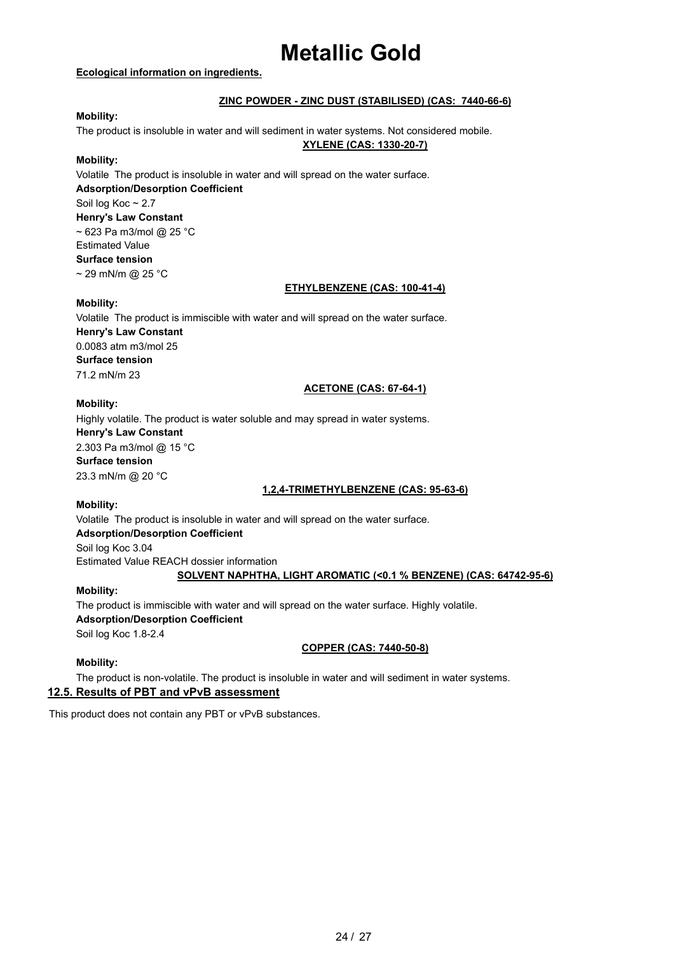### **Ecological information on ingredients.**

## **ZINC POWDER - ZINC DUST (STABILISED) (CAS: 7440-66-6)**

## **Mobility:**

The product is insoluble in water and will sediment in water systems. Not considered mobile.

## **XYLENE (CAS: 1330-20-7)**

#### **Mobility:**

Volatile The product is insoluble in water and will spread on the water surface. **Adsorption/Desorption Coefficient** Soil log Koc ~ 2.7 **Henry's Law Constant**  $\sim$  623 Pa m3/mol @ 25 °C Estimated Value **Surface tension**  $\sim$  29 mN/m @ 25 °C

#### **ETHYLBENZENE (CAS: 100-41-4)**

#### **Mobility:**

Volatile The product is immiscible with water and will spread on the water surface. **Henry's Law Constant** 0.0083 atm m3/mol 25 **Surface tension** 71.2 mN/m 23

#### **ACETONE (CAS: 67-64-1)**

### **Mobility:**

Highly volatile. The product is water soluble and may spread in water systems. **Henry's Law Constant** 2.303 Pa m3/mol @ 15 °C **Surface tension** 23.3 mN/m @ 20 °C

### **1,2,4-TRIMETHYLBENZENE (CAS: 95-63-6)**

### **Mobility:**

Volatile The product is insoluble in water and will spread on the water surface. **Adsorption/Desorption Coefficient** Soil log Koc 3.04 Estimated Value REACH dossier information **SOLVENT NAPHTHA, LIGHT AROMATIC (<0.1 % BENZENE) (CAS: 64742-95-6)**

### **Mobility:**

The product is immiscible with water and will spread on the water surface. Highly volatile. **Adsorption/Desorption Coefficient**

Soil log Koc 1.8-2.4

### **COPPER (CAS: 7440-50-8)**

### **Mobility:**

The product is non-volatile. The product is insoluble in water and will sediment in water systems.

## **12.5. Results of PBT and vPvB assessment**

This product does not contain any PBT or vPvB substances.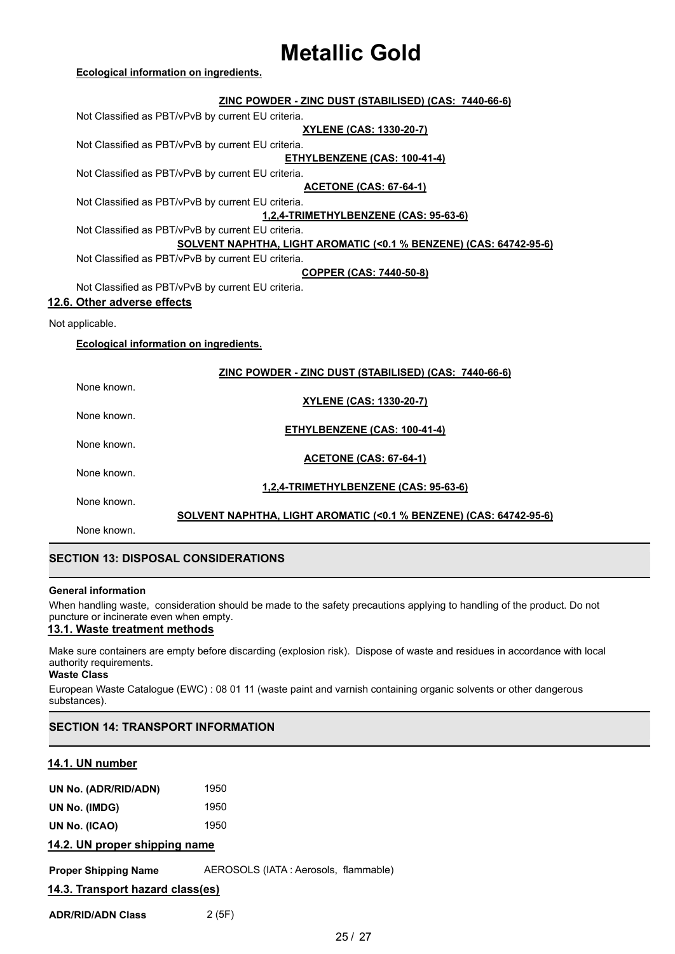| ZINC POWDER - ZINC DUST (STABILISED) (CAS: 7440-66-6)              |
|--------------------------------------------------------------------|
| Not Classified as PBT/vPvB by current EU criteria.                 |
| <u>XYLENE (CAS: 1330-20-7)</u>                                     |
| Not Classified as PBT/vPvB by current EU criteria.                 |
| <b>ETHYLBENZENE (CAS: 100-41-4)</b>                                |
| Not Classified as PBT/vPvB by current EU criteria.                 |
| <b>ACETONE (CAS: 67-64-1)</b>                                      |
| Not Classified as PBT/vPvB by current EU criteria.                 |
| 1,2,4-TRIMETHYLBENZENE (CAS: 95-63-6)                              |
| Not Classified as PBT/vPvB by current EU criteria.                 |
| SOLVENT NAPHTHA, LIGHT AROMATIC (<0.1 % BENZENE) (CAS: 64742-95-6) |
| Not Classified as PBT/vPvB by current EU criteria.                 |
| <b>COPPER (CAS: 7440-50-8)</b>                                     |
| Not Classified as PBT/vPvB by current EU criteria.                 |
| 12.6. Other adverse effects                                        |
| Not applicable.                                                    |
| <b>Ecological information on ingredients.</b>                      |
|                                                                    |
| ZINC POWDER - ZINC DUST (STABILISED) (CAS: 7440-66-6)              |
| None known.                                                        |
| <b>XYLENE (CAS: 1330-20-7)</b>                                     |
| None known.                                                        |
| <b>ETHYLBENZENE (CAS: 100-41-4)</b>                                |
| None known.                                                        |
| <b>ACETONE (CAS: 67-64-1)</b>                                      |
| None known.                                                        |
| 1,2,4-TRIMETHYLBENZENE (CAS: 95-63-6)                              |
| None known.                                                        |
| SOLVENT NAPHTHA, LIGHT AROMATIC (<0.1 % BENZENE) (CAS: 64742-95-6) |
| None known.                                                        |
|                                                                    |

## **SECTION 13: DISPOSAL CONSIDERATIONS**

#### **General information**

When handling waste, consideration should be made to the safety precautions applying to handling of the product. Do not puncture or incinerate even when empty.

## **13.1. Waste treatment methods**

Make sure containers are empty before discarding (explosion risk). Dispose of waste and residues in accordance with local authority requirements.

**Waste Class**

European Waste Catalogue (EWC) : 08 01 11 (waste paint and varnish containing organic solvents or other dangerous substances).

## **SECTION 14: TRANSPORT INFORMATION**

## **14.1. UN number**

| 1950 |
|------|
| 1950 |
| 1950 |
|      |

## **14.2. UN proper shipping name**

**Proper Shipping Name** AEROSOLS (IATA : Aerosols, flammable)

**14.3. Transport hazard class(es)**

**ADR/RID/ADN Class** 2 (5F)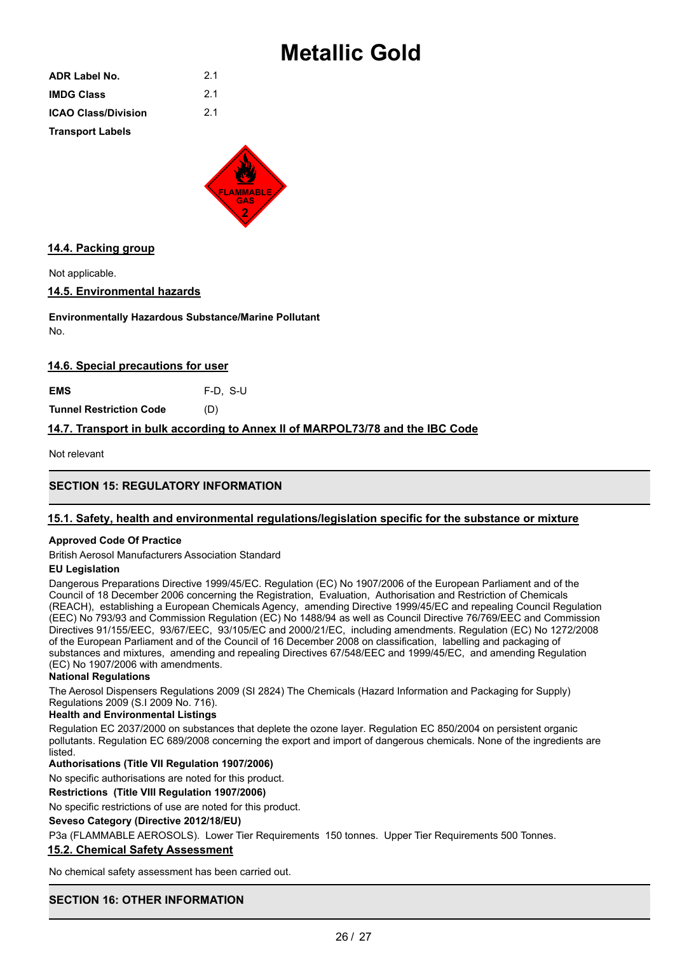| <b>ADR Label No.</b>       | 2.1 |
|----------------------------|-----|
| <b>IMDG Class</b>          | 2.1 |
| <b>ICAO Class/Division</b> | 2.1 |
| <b>Transport Labels</b>    |     |



## **14.4. Packing group**

Not applicable.

## **14.5. Environmental hazards**

**Environmentally Hazardous Substance/Marine Pollutant** No.

## **14.6. Special precautions for user**

**EMS** F-D, S-U

**Tunnel Restriction Code** (D)

## **14.7. Transport in bulk according to Annex II of MARPOL73/78 and the IBC Code**

Not relevant

## **SECTION 15: REGULATORY INFORMATION**

## **15.1. Safety, health and environmental regulations/legislation specific for the substance or mixture**

### **Approved Code Of Practice**

British Aerosol Manufacturers Association Standard

### **EU Legislation**

Dangerous Preparations Directive 1999/45/EC. Regulation (EC) No 1907/2006 of the European Parliament and of the Council of 18 December 2006 concerning the Registration, Evaluation, Authorisation and Restriction of Chemicals (REACH), establishing a European Chemicals Agency, amending Directive 1999/45/EC and repealing Council Regulation (EEC) No 793/93 and Commission Regulation (EC) No 1488/94 as well as Council Directive 76/769/EEC and Commission Directives 91/155/EEC, 93/67/EEC, 93/105/EC and 2000/21/EC, including amendments. Regulation (EC) No 1272/2008 of the European Parliament and of the Council of 16 December 2008 on classification, labelling and packaging of substances and mixtures, amending and repealing Directives 67/548/EEC and 1999/45/EC, and amending Regulation (EC) No 1907/2006 with amendments.

### **National Regulations**

The Aerosol Dispensers Regulations 2009 (SI 2824) The Chemicals (Hazard Information and Packaging for Supply) Regulations 2009 (S.I 2009 No. 716).

### **Health and Environmental Listings**

Regulation EC 2037/2000 on substances that deplete the ozone layer. Regulation EC 850/2004 on persistent organic pollutants. Regulation EC 689/2008 concerning the export and import of dangerous chemicals. None of the ingredients are listed.

## **Authorisations (Title VII Regulation 1907/2006)**

No specific authorisations are noted for this product.

### **Restrictions (Title VIII Regulation 1907/2006)**

No specific restrictions of use are noted for this product.

### **Seveso Category (Directive 2012/18/EU)**

P3a (FLAMMABLE AEROSOLS). Lower Tier Requirements 150 tonnes. Upper Tier Requirements 500 Tonnes.

### **15.2. Chemical Safety Assessment**

No chemical safety assessment has been carried out.

## **SECTION 16: OTHER INFORMATION**